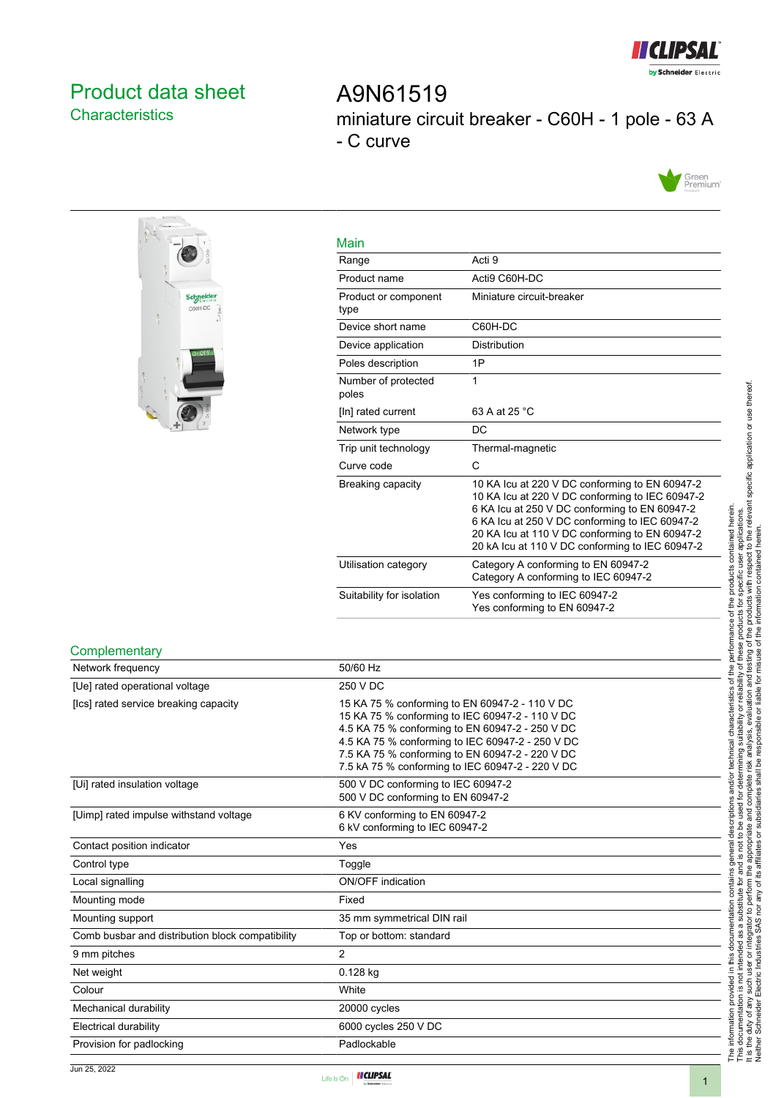

# <span id="page-0-0"></span>Product data sheet **Characteristics**

A9N61519 miniature circuit breaker - C60H - 1 pole - 63 A - C curve





| <b>Main</b>                  |                                                                                                                                                                                                                                                                                                           |
|------------------------------|-----------------------------------------------------------------------------------------------------------------------------------------------------------------------------------------------------------------------------------------------------------------------------------------------------------|
| Range                        | Acti 9                                                                                                                                                                                                                                                                                                    |
| Product name                 | Acti9 C60H-DC                                                                                                                                                                                                                                                                                             |
| Product or component<br>type | Miniature circuit-breaker                                                                                                                                                                                                                                                                                 |
| Device short name            | C60H-DC                                                                                                                                                                                                                                                                                                   |
| Device application           | Distribution                                                                                                                                                                                                                                                                                              |
| Poles description            | 1P                                                                                                                                                                                                                                                                                                        |
| Number of protected<br>poles | 1                                                                                                                                                                                                                                                                                                         |
| [In] rated current           | 63 A at 25 °C                                                                                                                                                                                                                                                                                             |
| Network type                 | DC                                                                                                                                                                                                                                                                                                        |
| Trip unit technology         | Thermal-magnetic                                                                                                                                                                                                                                                                                          |
| Curve code                   | C                                                                                                                                                                                                                                                                                                         |
| Breaking capacity            | 10 KA Icu at 220 V DC conforming to EN 60947-2<br>10 KA Icu at 220 V DC conforming to IEC 60947-2<br>6 KA Icu at 250 V DC conforming to EN 60947-2<br>6 KA Icu at 250 V DC conforming to IEC 60947-2<br>20 KA Icu at 110 V DC conforming to EN 60947-2<br>20 kA Icu at 110 V DC conforming to IEC 60947-2 |
| Utilisation category         | Category A conforming to EN 60947-2<br>Category A conforming to IEC 60947-2                                                                                                                                                                                                                               |
| Suitability for isolation    | Yes conforming to IEC 60947-2<br>Yes conforming to EN 60947-2                                                                                                                                                                                                                                             |

#### **Complementary**

| Network frequency                                | 50/60 Hz                                                                                                                                                                                                                                                                                                        |
|--------------------------------------------------|-----------------------------------------------------------------------------------------------------------------------------------------------------------------------------------------------------------------------------------------------------------------------------------------------------------------|
| [Ue] rated operational voltage                   | 250 V DC                                                                                                                                                                                                                                                                                                        |
| [Ics] rated service breaking capacity            | 15 KA 75 % conforming to EN 60947-2 - 110 V DC<br>15 KA 75 % conforming to IEC 60947-2 - 110 V DC<br>4.5 KA 75 % conforming to EN 60947-2 - 250 V DC<br>4.5 KA 75 % conforming to IEC 60947-2 - 250 V DC<br>7.5 KA 75 % conforming to EN 60947-2 - 220 V DC<br>7.5 kA 75 % conforming to IEC 60947-2 - 220 V DC |
| [Ui] rated insulation voltage                    | 500 V DC conforming to IEC 60947-2<br>500 V DC conforming to EN 60947-2                                                                                                                                                                                                                                         |
| [Uimp] rated impulse withstand voltage           | 6 KV conforming to EN 60947-2<br>6 kV conforming to IEC 60947-2                                                                                                                                                                                                                                                 |
| Contact position indicator                       | Yes                                                                                                                                                                                                                                                                                                             |
| Control type                                     | Toggle                                                                                                                                                                                                                                                                                                          |
| Local signalling                                 | <b>ON/OFF</b> indication                                                                                                                                                                                                                                                                                        |
| Mounting mode                                    | Fixed                                                                                                                                                                                                                                                                                                           |
| Mounting support                                 | 35 mm symmetrical DIN rail                                                                                                                                                                                                                                                                                      |
| Comb busbar and distribution block compatibility | Top or bottom: standard                                                                                                                                                                                                                                                                                         |
| 9 mm pitches                                     | $\overline{2}$                                                                                                                                                                                                                                                                                                  |
| Net weight                                       | 0.128 kg                                                                                                                                                                                                                                                                                                        |
| Colour                                           | White                                                                                                                                                                                                                                                                                                           |
| Mechanical durability                            | 20000 cycles                                                                                                                                                                                                                                                                                                    |
| <b>Electrical durability</b>                     | 6000 cycles 250 V DC                                                                                                                                                                                                                                                                                            |
| Provision for padlocking                         | Padlockable                                                                                                                                                                                                                                                                                                     |